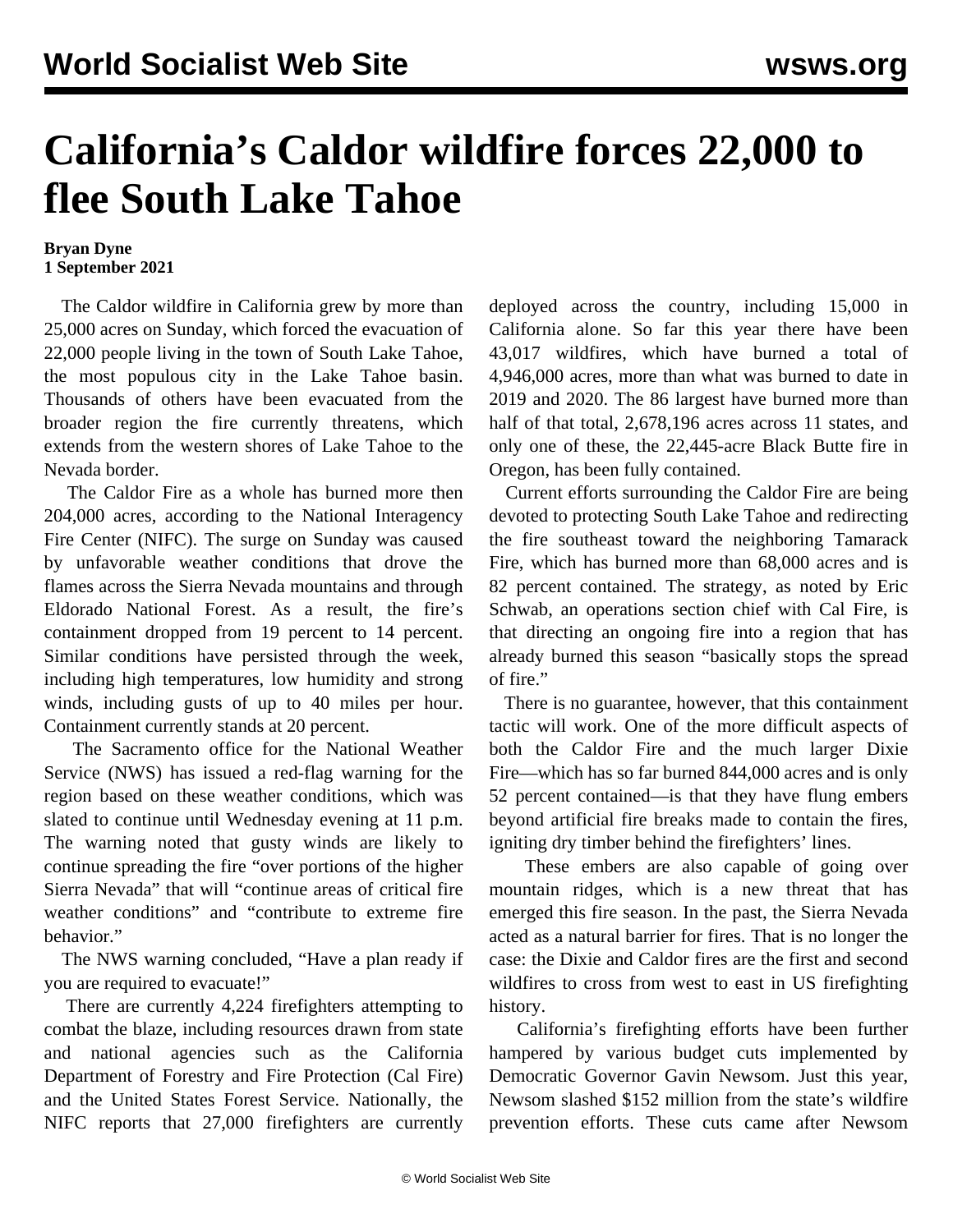## **California's Caldor wildfire forces 22,000 to flee South Lake Tahoe**

## **Bryan Dyne 1 September 2021**

 The Caldor wildfire in California grew by more than 25,000 acres on Sunday, which forced the evacuation of 22,000 people living in the town of South Lake Tahoe, the most populous city in the Lake Tahoe basin. Thousands of others have been evacuated from the broader region the fire currently threatens, which extends from the western shores of Lake Tahoe to the Nevada border.

 The Caldor Fire as a whole has burned more then 204,000 acres, according to the National Interagency Fire Center (NIFC). The surge on Sunday was caused by unfavorable weather conditions that drove the flames across the Sierra Nevada mountains and through Eldorado National Forest. As a result, the fire's containment dropped from 19 percent to 14 percent. Similar conditions have persisted through the week, including high temperatures, low humidity and strong winds, including gusts of up to 40 miles per hour. Containment currently stands at 20 percent.

 The Sacramento office for the National Weather Service (NWS) has issued a red-flag warning for the region based on these weather conditions, which was slated to continue until Wednesday evening at 11 p.m. The warning noted that gusty winds are likely to continue spreading the fire "over portions of the higher Sierra Nevada" that will "continue areas of critical fire weather conditions" and "contribute to extreme fire behavior."

 The NWS warning concluded, "Have a plan ready if you are required to evacuate!"

 There are currently 4,224 firefighters attempting to combat the blaze, including resources drawn from state and national agencies such as the California Department of Forestry and Fire Protection (Cal Fire) and the United States Forest Service. Nationally, the NIFC reports that 27,000 firefighters are currently

deployed across the country, including 15,000 in California alone. So far this year there have been 43,017 wildfires, which have burned a total of 4,946,000 acres, more than what was burned to date in 2019 and 2020. The 86 largest have burned more than half of that total, 2,678,196 acres across 11 states, and only one of these, the 22,445-acre Black Butte fire in Oregon, has been fully contained.

 Current efforts surrounding the Caldor Fire are being devoted to protecting South Lake Tahoe and redirecting the fire southeast toward the neighboring Tamarack Fire, which has burned more than 68,000 acres and is 82 percent contained. The strategy, as noted by Eric Schwab, an operations section chief with Cal Fire, is that directing an ongoing fire into a region that has already burned this season "basically stops the spread of fire."

 There is no guarantee, however, that this containment tactic will work. One of the more difficult aspects of both the Caldor Fire and the much larger Dixie Fire—which has so far burned 844,000 acres and is only 52 percent contained—is that they have flung embers beyond artificial fire breaks made to contain the fires, igniting dry timber behind the firefighters' lines.

 These embers are also capable of going over mountain ridges, which is a new threat that has emerged this fire season. In the past, the Sierra Nevada acted as a natural barrier for fires. That is no longer the case: the Dixie and Caldor fires are the first and second wildfires to cross from west to east in US firefighting history.

 California's firefighting efforts have been further hampered by various budget cuts implemented by Democratic Governor Gavin Newsom. Just this year, Newsom slashed \$152 million from the state's wildfire prevention efforts. These cuts came after Newsom